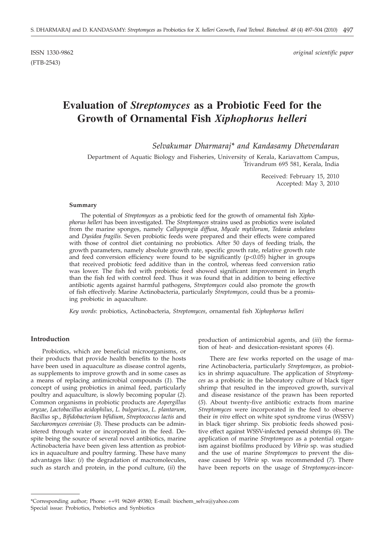(FTB-2543)

ISSN 1330-9862 *original scientific paper*

# **Evaluation of** *Streptomyces* **as a Probiotic Feed for the Growth of Ornamental Fish** *Xiphophorus helleri*

*Selvakumar Dharmaraj\* and Kandasamy Dhevendaran*

Department of Aquatic Biology and Fisheries, University of Kerala, Kariavattom Campus, Trivandrum 695 581, Kerala, India

> Received: February 15, 2010 Accepted: May 3, 2010

#### **Summary**

The potential of *Streptomyces* as a probiotic feed for the growth of ornamental fish *Xiphophorus helleri* has been investigated. The *Streptomyces* strains used as probiotics were isolated from the marine sponges, namely *Callyspongia diffusa*, *Mycale mytilorum*, *Tedania anhelans* and *Dysidea fragilis*. Seven probiotic feeds were prepared and their effects were compared with those of control diet containing no probiotics. After 50 days of feeding trials, the growth parameters, namely absolute growth rate, specific growth rate, relative growth rate and feed conversion efficiency were found to be significantly (p<0.05) higher in groups that received probiotic feed additive than in the control, whereas feed conversion ratio was lower. The fish fed with probiotic feed showed significant improvement in length than the fish fed with control feed. Thus it was found that in addition to being effective antibiotic agents against harmful pathogens, *Streptomyces* could also promote the growth of fish effectively. Marine Actinobacteria, particularly *Streptomyces*, could thus be a promising probiotic in aquaculture.

*Key words*: probiotics, Actinobacteria, *Streptomyces*, ornamental fish *Xiphophorus helleri*

#### **Introduction**

Probiotics, which are beneficial microorganisms, or their products that provide health benefits to the hosts have been used in aquaculture as disease control agents, as supplements to improve growth and in some cases as a means of replacing antimicrobial compounds (*1*). The concept of using probiotics in animal feed, particularly poultry and aquaculture, is slowly becoming popular (*2*). Common organisms in probiotic products are *Aspergillus oryzae*, *Lactobacillus acidophilus*, *L. bulgaricus*, *L. plantarum*, *Bacillus* sp., *Bifidobacterium bifidium*, *Streptococcus lactis* and *Saccharomyces cerevisiae* (*3*). These products can be administered through water or incorporated in the feed. Despite being the source of several novel antibiotics, marine Actinobacteria have been given less attention as probiotics in aquaculture and poultry farming. These have many advantages like: (*i*) the degradation of macromolecules, such as starch and protein, in the pond culture, (*ii*) the production of antimicrobial agents, and (*iii*) the formation of heat- and desiccation-resistant spores (*4*).

There are few works reported on the usage of marine Actinobacteria, particularly *Streptomyces*, as probiotics in shrimp aquaculture. The application of *Streptomyces* as a probiotic in the laboratory culture of black tiger shrimp that resulted in the improved growth, survival and disease resistance of the prawn has been reported (*5*). About twenty-five antibiotic extracts from marine *Streptomyces* were incorporated in the feed to observe their *in vivo* effect on white spot syndrome virus (WSSV) in black tiger shrimp. Six probiotic feeds showed positive effect against WSSV-infected penaeid shrimps (*6*). The application of marine *Streptomyces* as a potential organism against biofilms produced by *Vibrio* sp. was studied and the use of marine *Streptomyces* to prevent the disease caused by *Vibrio* sp. was recommended (*7*). There have been reports on the usage of *Streptomyces*-incor-

<sup>\*</sup>Corresponding author; Phone:  $++91$  96269 49380; E-mail: biochem\_selva@yahoo.com Special issue: Probiotics, Prebiotics and Synbiotics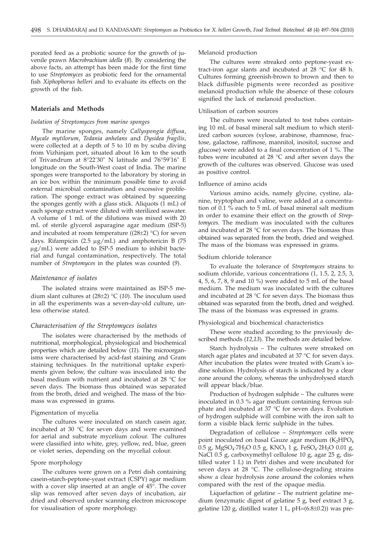porated feed as a probiotic source for the growth of juvenile prawn *Macrobrachium idella* (*8*). By considering the above facts, an attempt has been made for the first time to use *Streptomyces* as probiotic feed for the ornamental fish *Xiphophorus helleri* and to evaluate its effects on the growth of the fish.

#### **Materials and Methods**

## *Isolation of Streptomyces from marine sponges*

The marine sponges, namely *Callyspongia diffusa*, *Mycale mytilorum*, *Tedania anhelans* and *Dysidea fragilis*, were collected at a depth of 5 to 10 m by scuba diving from Vizhinjam port, situated about 16 km to the south of Trivandrum at 8°22'30" N latitude and 76°59'16" E longitude on the South-West coast of India. The marine sponges were transported to the laboratory by storing in an ice box within the minimum possible time to avoid external microbial contamination and excessive proliferation. The sponge extract was obtained by squeezing the sponges gently with a glass stick. Aliquots (1 mL) of each sponge extract were diluted with sterilized seawater. A volume of 1 mL of the dilutions was mixed with 20 mL of sterile glycerol asparagine agar medium (ISP-5) and incubated at room temperature ( $(28±2)$  °C) for seven days. Rifampicin (2.5  $\mu$ g/mL) and amphotericin B (75  $\mu$ g/mL) were added to ISP-5 medium to inhibit bacterial and fungal contamination, respectively. The total number of *Streptomyces* in the plates was counted (*9*).

## *Maintenance of isolates*

The isolated strains were maintained as ISP-5 medium slant cultures at (28±2) °C (*10*). The inoculum used in all the experiments was a seven-day-old culture, unless otherwise stated.

#### *Characterisation of the Streptomyces isolates*

The isolates were characterised by the methods of nutritional, morphological, physiological and biochemical properties which are detailed below (*11*). The microorganisms were characterised by acid-fast staining and Gram staining techniques. In the nutritional uptake experiments given below, the culture was inoculated into the basal medium with nutrient and incubated at 28 °C for seven days. The biomass thus obtained was separated from the broth, dried and weighed. The mass of the biomass was expressed in grams.

#### Pigmentation of mycelia

The cultures were inoculated on starch casein agar, incubated at 30 °C for seven days and were examined for aerial and substrate mycelium colour. The cultures were classified into white, grey, yellow, red, blue, green or violet series, depending on the mycelial colour.

## Spore morphology

The cultures were grown on a Petri dish containing casein-starch-peptone-yeast extract (CSPY) agar medium with a cover slip inserted at an angle of 45°. The cover slip was removed after seven days of incubation, air dried and observed under scanning electron microscope for visualisation of spore morphology.

## Melanoid production

The cultures were streaked onto peptone-yeast extract-iron agar slants and incubated at 28 °C for 48 h. Cultures forming greenish-brown to brown and then to black diffusible pigments were recorded as positive melanoid production while the absence of these colours signified the lack of melanoid production.

#### Utilisation of carbon sources

The cultures were inoculated to test tubes containing 10 mL of basal mineral salt medium to which sterilized carbon sources (xylose, arabinose, rhamnose, fructose, galactose, raffinose, mannitol, inositol, sucrose and glucose) were added to a final concentration of 1 %. The tubes were incubated at 28 °C and after seven days the growth of the cultures was observed. Glucose was used as positive control.

#### Influence of amino acids

Various amino acids, namely glycine, cystine, alanine, tryptophan and valine, were added at a concentration of 0.1 % each to 5 mL of basal mineral salt medium in order to examine their effect on the growth of *Streptomyces*. The medium was inoculated with the cultures and incubated at 28 °C for seven days. The biomass thus obtained was separated from the broth, dried and weighed. The mass of the biomass was expressed in grams.

#### Sodium chloride tolerance

To evaluate the tolerance of *Streptomyces* strains to sodium chloride, various concentrations (1, 1.5, 2, 2.5, 3, 4, 5, 6, 7, 8, 9 and 10 %) were added to 5 mL of the basal medium. The medium was inoculated with the cultures and incubated at 28 °C for seven days. The biomass thus obtained was separated from the broth, dried and weighed. The mass of the biomass was expressed in grams.

#### Physiological and biochemical characteristics

These were studied according to the previously described methods (*12,13*). The methods are detailed below.

Starch hydrolysis – The cultures were streaked on starch agar plates and incubated at 37 °C for seven days. After incubation the plates were treated with Gram's iodine solution. Hydrolysis of starch is indicated by a clear zone around the colony, whereas the unhydrolysed starch will appear black/blue.

Production of hydrogen sulphide – The cultures were inoculated in 0.3 % agar medium containing ferrous sulphate and incubated at 37 °C for seven days. Evolution of hydrogen sulphide will combine with the iron salt to form a visible black ferric sulphide in the tubes.

Degradation of cellulose – *Streptomyces* cells were point inoculated on basal Gauze agar medium  $(K_2HPO_4)$ 0.5 g, MgSO<sub>4</sub>·7H<sub>2</sub>O 0.5 g, KNO<sub>3</sub> 1 g, FeSO<sub>4</sub>·2H<sub>2</sub>O 0.01 g, NaCl 0.5 g, carboxymethyl cellulose 10 g, agar 25 g, distilled water 1 L) in Petri dishes and were incubated for seven days at 28 °C. The cellulose-degrading strains show a clear hydrolysis zone around the colonies when compared with the rest of the opaque media.

Liquefaction of gelatine – The nutrient gelatine medium (enzymatic digest of gelatine 5 g, beef extract 3 g, gelatine 120 g, distilled water 1 L,  $pH=(6.8\pm0.2)$ ) was pre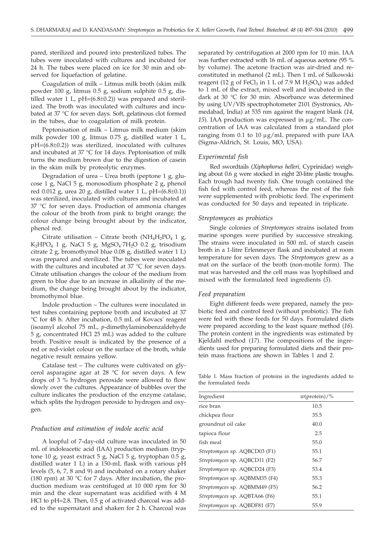pared, sterilized and poured into presterilized tubes. The tubes were inoculated with cultures and incubated for 24 h. The tubes were placed on ice for 30 min and observed for liquefaction of gelatine.

Coagulation of milk – Litmus milk broth (skim milk powder 100 g, litmus 0.5 g, sodium sulphite 0.5 g, distilled water 1 L,  $pH=(6.8\pm0.2)$ ) was prepared and sterilized. The broth was inoculated with cultures and incubated at 37 °C for seven days. Soft, gelatinous clot formed in the tubes, due to coagulation of milk protein.

Peptonisation of milk – Litmus milk medium (skim milk powder 100 g, litmus 0.75 g, distilled water 1 L, pH=(6.8±0.2)) was sterilized, inoculated with cultures and incubated at 37 °C for 14 days. Peptonisation of milk turns the medium brown due to the digestion of casein in the skim milk by proteolytic enzymes.

Degradation of urea – Urea broth (peptone 1 g, glucose 1 g, NaCl 5 g, monosodium phosphate 2 g, phenol red 0.012 g, urea 20 g, distilled water 1 L,  $pH=(6.8\pm0.1)$ ) was sterilized, inoculated with cultures and incubated at 37 °C for seven days. Production of ammonia changes the colour of the broth from pink to bright orange; the colour change being brought about by the indicator, phenol red.

Citrate utilisation – Citrate broth (NH<sub>4</sub>H<sub>2</sub>PO<sub>4</sub> 1 g, K<sub>2</sub>HPO<sub>4</sub> 1 g, NaCl 5 g, MgSO<sub>4</sub>·7H<sub>2</sub>O 0.2 g, trisodium citrate 2 g, bromothymol blue 0.08 g, distilled water 1 L) was prepared and sterilized. The tubes were inoculated with the cultures and incubated at 37 °C for seven days. Citrate utilisation changes the colour of the medium from green to blue due to an increase in alkalinity of the medium, the change being brought about by the indicator, bromothymol blue.

Indole production – The cultures were inoculated in test tubes containing peptone broth and incubated at 37 °C for 48 h. After incubation, 0.5 mL of Kovacs' reagent (isoamyl alcohol 75 mL, *p*-dimethylaminobenzaldehyde 5 g, concentrated HCl 25 mL) was added to the culture broth. Positive result is indicated by the presence of a red or red-violet colour on the surface of the broth, while negative result remains yellow.

Catalase test – The cultures were cultivated on glycerol asparagine agar at 28 °C for seven days. A few drops of 3 % hydrogen peroxide were allowed to flow slowly over the cultures. Appearance of bubbles over the culture indicates the production of the enzyme catalase, which splits the hydrogen peroxide to hydrogen and oxygen.

## *Production and estimation of indole acetic acid*

A loopful of 7-day-old culture was inoculated in 50 mL of indoleacetic acid (IAA) production medium (tryptone 10 g, yeast extract 5 g, NaCl 5 g, tryptophan 0.5 g, distilled water 1 L) in a 150-mL flask with various pH levels (5, 6, 7, 8 and 9) and incubated on a rotary shaker (180 rpm) at 30  $\degree$ C for 7 days. After incubation, the production medium was centrifuged at 10 000 rpm for 30 min and the clear supernatant was acidified with 4 M HCl to pH=2.8. Then, 0.5 g of activated charcoal was added to the supernatant and shaken for 2 h. Charcoal was

separated by centrifugation at 2000 rpm for 10 min. IAA was further extracted with 16 mL of aqueous acetone (95 % by volume). The acetone fraction was air-dried and reconstituted in methanol (2 mL). Then 1 mL of Salkowski reagent (12 g of FeCl<sub>3</sub> in 1 L of 7.9 M H<sub>2</sub>SO<sub>4</sub>) was added to 1 mL of the extract, mixed well and incubated in the dark at 30 °C for 30 min. Absorbance was determined by using UV/VIS spectrophotometer 2101 (Systronics, Ahmedabad, India) at 535 nm against the reagent blank (*14*, 15). IAA production was expressed in  $\mu$ g/mL. The concentration of IAA was calculated from a standard plot ranging from  $0.1$  to  $10 \mu g/mL$  prepared with pure IAA (Sigma-Aldrich, St. Louis, MO, USA).

#### *Experimental fish*

Red swordtails (*Xiphophorus helleri,* Cyprinidae) weighing about 0.6 g were stocked in eight 20-litre plastic troughs. Each trough had twenty fish. One trough contained the fish fed with control feed, whereas the rest of the fish were supplemented with probiotic feed. The experiment was conducted for 50 days and repeated in triplicate.

#### *Streptomyces as probiotics*

Single colonies of *Streptomyces* strains isolated from marine sponges were purified by successive streaking. The strains were inoculated in 500 mL of starch casein broth in a 1-litre Erlenmeyer flask and incubated at room temperature for seven days. The *Streptomyces* grew as a mat on the surface of the broth (non-motile form). The mat was harvested and the cell mass was lyophilised and mixed with the formulated feed ingredients (*5*).

#### *Feed preparation*

Eight different feeds were prepared, namely the probiotic feed and control feed (without probiotic). The fish were fed with these feeds for 50 days. Formulated diets were prepared according to the least square method (*16*). The protein content in the ingredients was estimated by Kjeldahl method (*17*). The compositions of the ingredients used for preparing formulated diets and their protein mass fractions are shown in Tables 1 and 2.

Table 1. Mass fraction of proteins in the ingredients added to the formulated feeds

| $w(\text{protein})/\%$ |
|------------------------|
|                        |
| 10.5                   |
| 35.5                   |
| 40.0                   |
| 2.5                    |
| 55.0                   |
| 55.1                   |
| 56.7                   |
| 53.4                   |
| 55.3                   |
| 56.2                   |
| 55.1                   |
| 55.9                   |
|                        |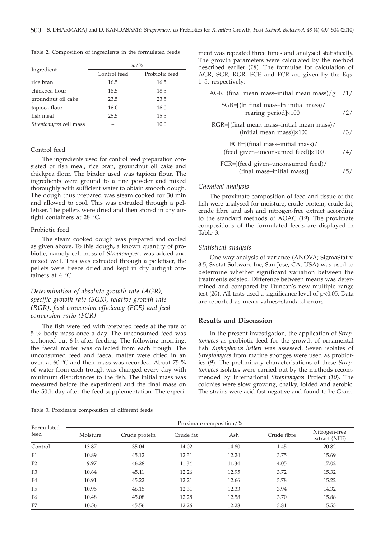|                        | $w/\%$       |                |  |  |  |  |  |
|------------------------|--------------|----------------|--|--|--|--|--|
| Ingredient             | Control feed | Probiotic feed |  |  |  |  |  |
| rice bran              | 16.5         | 16.5           |  |  |  |  |  |
| chickpea flour         | 18.5         | 18.5           |  |  |  |  |  |
| groundnut oil cake     | 23.5         | 23.5           |  |  |  |  |  |
| tapioca flour          | 16.0         | 16.0           |  |  |  |  |  |
| fish meal              | 25.5         | 15.5           |  |  |  |  |  |
| Streptomyces cell mass |              | 10.0           |  |  |  |  |  |

Table 2. Composition of ingredients in the formulated feeds

## Control feed

The ingredients used for control feed preparation consisted of fish meal, rice bran, groundnut oil cake and chickpea flour. The binder used was tapioca flour. The ingredients were ground to a fine powder and mixed thoroughly with sufficient water to obtain smooth dough. The dough thus prepared was steam cooked for 30 min and allowed to cool. This was extruded through a pelletiser. The pellets were dried and then stored in dry airtight containers at 28 °C.

#### Probiotic feed

The steam cooked dough was prepared and cooled as given above. To this dough, a known quantity of probiotic, namely cell mass of *Streptomyces*, was added and mixed well. This was extruded through a pelletiser, the pellets were freeze dried and kept in dry airtight containers at 4 °C.

## *Determination of absolute growth rate (AGR), specific growth rate (SGR), relative growth rate (RGR), feed conversion efficiency (FCE) and feed conversion ratio (FCR)*

The fish were fed with prepared feeds at the rate of 5 % body mass once a day. The unconsumed feed was siphoned out 6 h after feeding. The following morning, the faecal matter was collected from each trough. The unconsumed feed and faecal matter were dried in an oven at 60 °C and their mass was recorded. About 75 % of water from each trough was changed every day with minimum disturbances to the fish. The initial mass was measured before the experiment and the final mass on the 50th day after the feed supplementation. The experi-

ment was repeated three times and analysed statistically. The growth parameters were calculated by the method described earlier (*18*). The formulae for calculation of AGR, SGR, RGR, FCE and FCR are given by the Eqs. 1–5, respectively:

| $AGR = (final mean mass–initial mean mass)/g$ /1/                              |     |
|--------------------------------------------------------------------------------|-----|
| SGR=[(ln final mass-ln initial mass)/<br>rearing period $]\times 100$          | /2/ |
| RGR=[(final mean mass-initial mean mass)/<br>(initial mean mass) $]\times 100$ | /3/ |
| FCE=[(final mass-initial mass)/<br>(feed given-unconsumed feed) $]\times 100$  | /4/ |
| FCR=[(feed given-unconsumed feed)/<br>(final mass-initial mass)]               |     |

## *Chemical analysis*

The proximate composition of feed and tissue of the fish were analysed for moisture, crude protein, crude fat, crude fibre and ash and nitrogen-free extract according to the standard methods of AOAC (*19*). The proximate compositions of the formulated feeds are displayed in Table 3.

## *Statistical analysis*

One way analysis of variance (ANOVA; SigmaStat v. 3.5, Systat Software Inc, San Jose, CA, USA) was used to determine whether significant variation between the treatments existed. Difference between means was determined and compared by Duncan's new multiple range test (*20*). All tests used a significance level of p<0.05. Data are reported as mean values±standard errors.

## **Results and Discussion**

In the present investigation, the application of *Streptomyces* as probiotic feed for the growth of ornamental fish *Xiphophorus helleri* was assessed. Seven isolates of *Streptomyces* from marine sponges were used as probiotics (*9*). The preliminary characterisations of these *Streptomyces* isolates were carried out by the methods recommended by International *Streptomyces* Project (*10*). The colonies were slow growing, chalky, folded and aerobic. The strains were acid-fast negative and found to be Gram-

| Table 3. Proximate composition of different feeds |  |  |  |  |
|---------------------------------------------------|--|--|--|--|
|---------------------------------------------------|--|--|--|--|

| Formulated<br>feed | Proximate composition/% |               |           |       |             |                                |  |  |  |  |  |  |
|--------------------|-------------------------|---------------|-----------|-------|-------------|--------------------------------|--|--|--|--|--|--|
|                    | Moisture                | Crude protein | Crude fat | Ash   | Crude fibre | Nitrogen-free<br>extract (NFE) |  |  |  |  |  |  |
| Control            | 13.87                   | 35.04         | 14.02     | 14.80 | 1.45        | 20.82                          |  |  |  |  |  |  |
| F1                 | 10.89                   | 45.12         | 12.31     | 12.24 | 3.75        | 15.69                          |  |  |  |  |  |  |
| F <sub>2</sub>     | 9.97                    | 46.28         | 11.34     | 11.34 | 4.05        | 17.02                          |  |  |  |  |  |  |
| F <sub>3</sub>     | 10.64                   | 45.11         | 12.26     | 12.95 | 3.72        | 15.32                          |  |  |  |  |  |  |
| F4                 | 10.91                   | 45.22         | 12.21     | 12.66 | 3.78        | 15.22                          |  |  |  |  |  |  |
| F <sub>5</sub>     | 10.95                   | 46.15         | 12.31     | 12.33 | 3.94        | 14.32                          |  |  |  |  |  |  |
| F <sub>6</sub>     | 10.48                   | 45.08         | 12.28     | 12.58 | 3.70        | 15.88                          |  |  |  |  |  |  |
| F7                 | 10.56                   | 45.56         | 12.26     | 12.28 | 3.81        | 15.53                          |  |  |  |  |  |  |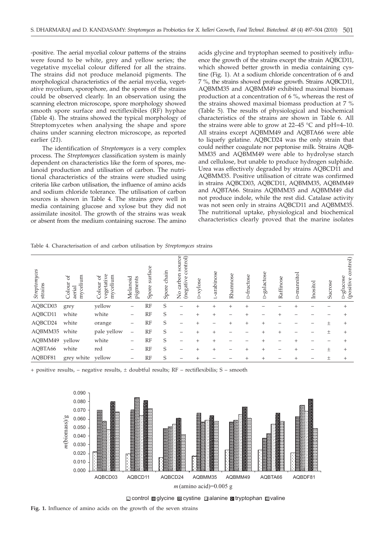-positive. The aerial mycelial colour patterns of the strains were found to be white, grey and yellow series; the vegetative mycelial colour differed for all the strains. The strains did not produce melanoid pigments. The morphological characteristics of the aerial mycelia, vegetative mycelium, sporophore, and the spores of the strains could be observed clearly. In an observation using the scanning electron microscope, spore morphology showed smooth spore surface and rectiflexibiles (RF) hyphae (Table 4). The strains showed the typical morphology of Streptomycetes when analysing the shape and spore chains under scanning electron microscope, as reported earlier (*21*).

The identification of *Streptomyces* is a very complex process. The *Streptomyces* classification system is mainly dependent on characteristics like the form of spores, melanoid production and utilisation of carbon. The nutritional characteristics of the strains were studied using criteria like carbon utilisation, the influence of amino acids and sodium chloride tolerance. The utilisation of carbon sources is shown in Table 4. The strains grew well in media containing glucose and xylose but they did not assimilate inositol. The growth of the strains was weak or absent from the medium containing sucrose. The amino

acids glycine and tryptophan seemed to positively influence the growth of the strains except the strain AQBCD11, which showed better growth in media containing cystine (Fig. 1). At a sodium chloride concentration of 6 and 7 %, the strains showed profuse growth. Strains AQBCD11, AQBMM35 and AQBMM49 exhibited maximal biomass production at a concentration of 6 %, whereas the rest of the strains showed maximal biomass production at 7 % (Table 5). The results of physiological and biochemical characteristics of the strains are shown in Table 6. All the strains were able to grow at  $22-45$  °C and pH=4–10. All strains except AQBMM49 and AQBTA66 were able to liquefy gelatine. AQBCD24 was the only strain that could neither coagulate nor peptonise milk. Strains AQB-MM35 and AQBMM49 were able to hydrolyse starch and cellulose, but unable to produce hydrogen sulphide. Urea was effectively degraded by strains AQBCD11 and AQBMM35. Positive utilisation of citrate was confirmed in strains AQBCD03, AQBCD11, AQBMM35, AQBMM49 and AQBTA66. Strains AQBMM35 and AQBMM49 did not produce indole, while the rest did. Catalase activity was not seen only in strains AQBCD11 and AQBMM35. The nutritional uptake, physiological and biochemical characteristics clearly proved that the marine isolates

Table 4. Characterisation of and carbon utilisation by *Streptomyces* strains

| Streptomyces<br>strains | g<br>ď<br>Colour<br>myceli<br>aerial | vegetative<br>mycelium<br>ð<br>Colour | Melanoid<br>pigments     | surface<br>Spore | chain<br>Spore | source<br>ontrol)<br>ū<br>carbon<br>(negative<br>$\frac{1}{2}$ | -xylose | arabinose | Rhamnose | D-fructose      | -galactose<br>Δ    | Raffinose | -mannitol<br>Å | Inositol | Sucrose | control)<br>D-glucose<br>(positive |
|-------------------------|--------------------------------------|---------------------------------------|--------------------------|------------------|----------------|----------------------------------------------------------------|---------|-----------|----------|-----------------|--------------------|-----------|----------------|----------|---------|------------------------------------|
| AQBCD03                 | grey                                 | yellow                                | $\overline{\phantom{0}}$ | RF               | S              |                                                                | $^{+}$  | $^{+}$    | $^{+}$   | $^{+}$          |                    |           |                |          |         |                                    |
| AQBCD11                 | white                                | white                                 | $\overline{\phantom{0}}$ | <b>RF</b>        | S              |                                                                | $^{+}$  | $^{+}$    |          | $^{+}$          |                    |           |                |          |         |                                    |
| AQBCD24                 | white                                | orange                                | $\overline{\phantom{0}}$ | <b>RF</b>        | S              |                                                                | $^{+}$  |           | $^{+}$   | $^{+}$          | $\pm$              |           |                |          | 土       | $^{+}$                             |
| AQBMM35                 | white                                | pale yellow                           | $\qquad \qquad -$        | RF               | S              |                                                                | $^{+}$  | $^{+}$    |          |                 | $^{+}$             | $^{+}$    |                |          | $\pm$   |                                    |
| AQBMM49                 | yellow                               | white                                 | -                        | RF               | S              |                                                                | $^{+}$  | $^{+}$    |          |                 | $\hskip 0.025cm +$ |           | $^{+}$         |          |         |                                    |
| AQBTA66                 | white                                | red                                   | $\qquad \qquad$          | <b>RF</b>        | S              |                                                                | $+$     | $^{+}$    |          | $^{+}$          | $\pm$              |           | $^{+}$         |          | 土       | $^{+}$                             |
| AQBDF81                 | grey white                           | yellow                                | -                        | RF               | S              |                                                                |         |           |          | $^{\mathrm{+}}$ | $\pm$              |           |                |          | 土       | $^{+}$                             |

 $+$  positive results,  $-$  negative results,  $\pm$  doubtful results; RF – rectiflexibilis; S – smooth



**Example 3** control algorithe cystine alanine atryptophan avaline

**Fig. 1.** Influence of amino acids on the growth of the seven strains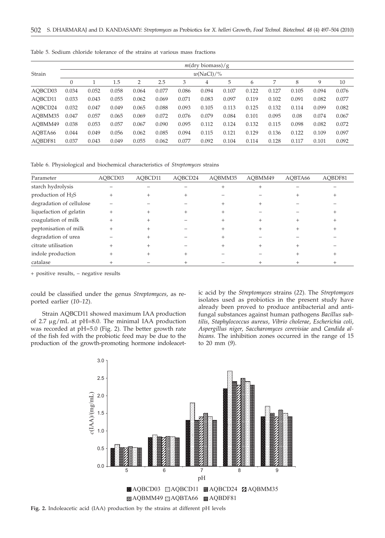|         |              |       |       |       |       |       | $m(\text{dry biomass})/g$ |       |       |       |       |       |       |
|---------|--------------|-------|-------|-------|-------|-------|---------------------------|-------|-------|-------|-------|-------|-------|
| Strain  | $w(NaCl)/\%$ |       |       |       |       |       |                           |       |       |       |       |       |       |
|         | $\theta$     |       | 1.5   | 2     | 2.5   | 3     | 4                         | 5     | 6     | 7     | 8     | 9     | 10    |
| AOBCD03 | 0.034        | 0.052 | 0.058 | 0.064 | 0.077 | 0.086 | 0.094                     | 0.107 | 0.122 | 0.127 | 0.105 | 0.094 | 0.076 |
| AOBCD11 | 0.033        | 0.043 | 0.055 | 0.062 | 0.069 | 0.071 | 0.083                     | 0.097 | 0.119 | 0.102 | 0.091 | 0.082 | 0.077 |
| AOBCD24 | 0.032        | 0.047 | 0.049 | 0.065 | 0.088 | 0.093 | 0.105                     | 0.113 | 0.125 | 0.132 | 0.114 | 0.099 | 0.082 |
| AOBMM35 | 0.047        | 0.057 | 0.065 | 0.069 | 0.072 | 0.076 | 0.079                     | 0.084 | 0.101 | 0.095 | 0.08  | 0.074 | 0.067 |
| AOBMM49 | 0.038        | 0.053 | 0.057 | 0.067 | 0.090 | 0.095 | 0.112                     | 0.124 | 0.132 | 0.115 | 0.098 | 0.082 | 0.072 |
| AOBTA66 | 0.044        | 0.049 | 0.056 | 0.062 | 0.085 | 0.094 | 0.115                     | 0.121 | 0.129 | 0.136 | 0.122 | 0.109 | 0.097 |
| AOBDF81 | 0.037        | 0.043 | 0.049 | 0.055 | 0.062 | 0.077 | 0.092                     | 0.104 | 0.114 | 0.128 | 0.117 | 0.101 | 0.092 |

Table 5. Sodium chloride tolerance of the strains at various mass fractions

Table 6. Physiological and biochemical characteristics of *Streptomyces* strains

| Parameter                | AQBCD03 | AQBCD11 | AOBCD24 | AOBMM35 | AOBMM49 | AOBTA66 | AQBDF81 |
|--------------------------|---------|---------|---------|---------|---------|---------|---------|
| starch hydrolysis        |         |         |         |         |         |         |         |
| production of $H_2S$     |         |         |         |         |         |         |         |
| degradation of cellulose |         |         |         |         |         |         |         |
| liquefaction of gelatin  |         |         |         |         |         |         |         |
| coagulation of milk      | $^{+}$  |         |         |         |         |         |         |
| peptonisation of milk    |         |         |         |         |         |         |         |
| degradation of urea      |         |         |         |         |         |         |         |
| citrate utilisation      |         |         |         |         |         |         |         |
| indole production        |         |         |         |         |         |         |         |
| catalase                 |         |         |         |         |         |         |         |

+ positive results, – negative results

could be classified under the genus *Streptomyces*, as reported earlier (*10–12*).

Strain AQBCD11 showed maximum IAA production of  $2.7 \mu$ g/mL at pH=8.0. The minimal IAA production was recorded at pH=5.0 (Fig. 2). The better growth rate of the fish fed with the probiotic feed may be due to the production of the growth-promoting hormone indoleacetic acid by the *Streptomyces* strains (*22*). The *Streptomyces* isolates used as probiotics in the present study have already been proved to produce antibacterial and antifungal substances against human pathogens *Bacillus subtilis*, *Staphylococcus aureus*, *Vibrio cholerae*, *Escherichia coli*, *Aspergillus niger*, *Saccharomyces cerevisiae* and *Candida albicans*. The inhibition zones occurred in the range of 15 to 20 mm (*9*).

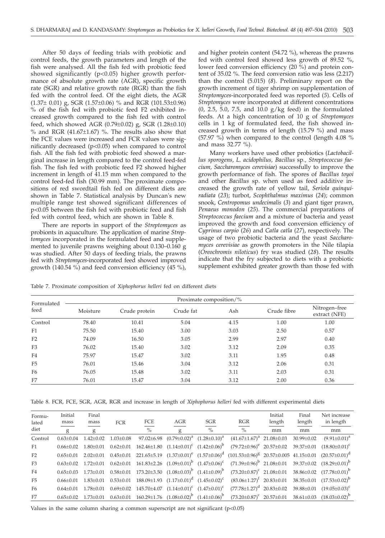After 50 days of feeding trials with probiotic and control feeds, the growth parameters and length of the fish were analysed. All the fish fed with probiotic feed showed significantly (p<0.05) higher growth performance of absolute growth rate (AGR), specific growth rate (SGR) and relative growth rate (RGR) than the fish fed with the control feed. Of the eight diets, the AGR (1.37± 0.01) g, SGR (1.57±0.06) % and RGR (101.53±0.96) % of the fish fed with probiotic feed F2 exhibited increased growth compared to the fish fed with control feed, which showed AGR (0.79±0.02) g, SGR (1.28±0.10) % and RGR  $(41.67\pm1.67)$  %. The results also show that the FCE values were increased and FCR values were significantly decreased (p<0.05) when compared to control fish. All the fish fed with probiotic feed showed a marginal increase in length compared to the control feed-fed fish. The fish fed with probiotic feed F2 showed higher increment in length of 41.15 mm when compared to the control feed-fed fish (30.99 mm). The proximate compositions of red swordtail fish fed on different diets are shown in Table 7. Statistical analysis by Duncan's new multiple range test showed significant differences of p<0.05 between the fish fed with probiotic feed and fish fed with control feed, which are shown in Table 8.

There are reports in support of the *Streptomyces* as probionts in aquaculture. The application of marine *Streptomyces* incorporated in the formulated feed and supplemented to juvenile prawns weighing about 0.130–0.160 g was studied. After 50 days of feeding trials, the prawns fed with *Streptomyces*-incorporated feed showed improved growth (140.54 %) and feed conversion efficiency (45 %),

and higher protein content (54.72 %), whereas the prawns fed with control feed showed less growth of 89.52 %, lower feed conversion efficiency (20 %) and protein content of 35.02 %. The feed conversion ratio was less (2.217) than the control (5.015) (*8*). Preliminary report on the growth increment of tiger shrimp on supplementation of *Streptomyces*-incorporated feed was reported (*5*). Cells of *Streptomyces* were incorporated at different concentrations  $(0, 2.5, 5.0, 7.5, \text{ and } 10.0 \text{ g/kg feed})$  in the formulated feeds. At a high concentration of 10 g of *Streptomyces* cells in 1 kg of formulated feed, the fish showed increased growth in terms of length (15.79 %) and mass (57.97 %) when compared to the control (length 4.08 % and mass 32.77 %).

Many workers have used other probiotics (*Lactobacillus sporogens, L. acidophilus, Bacillus* sp*., Streptococcus faecium, Saccharomyces cerevisiae*) successfully to improve the growth performance of fish. The spores of *Bacillus toyoi* and other *Bacillus* sp. when used as feed additive increased the growth rate of yellow tail, *Seriola quinquiradiata* (*23*); turbot, *Scophthalmus maximus* (*24*); common snook, *Centropomus undecimalis* (*3*) and giant tiger prawn, *Penaeus monodon* (*25*). The commercial preparations of *Streptococcus faecium* and a mixture of bacteria and yeast improved the growth and food conversion efficiency of *Cyprinus carpio* (*26*) and *Catla catla* (*27*), respectively. The usage of two probiotic bacteria and the yeast *Saccharomyces cerevisiae* as growth promoters in the Nile tilapia (*Oreochromis niloticus*) fry was studied (*28*). The results indicate that the fry subjected to diets with a probiotic supplement exhibited greater growth than those fed with

Table 7. Proximate composition of *Xiphophorus helleri* fed on different diets

| Formulated<br>feed | Moisture | Crude protein | Crude fat | Ash  | Crude fibre | Nitrogen-free<br>extract (NFE) |
|--------------------|----------|---------------|-----------|------|-------------|--------------------------------|
| Control            | 78.40    | 10.41         | 5.04      | 4.15 | 1.00        | 1.00                           |
| F1                 | 75.50    | 15.40         | 3.00      | 3.03 | 2.50        | 0.57                           |
| F <sub>2</sub>     | 74.09    | 16.50         | 3.05      | 2.99 | 2.97        | 0.40                           |
| F3                 | 76.02    | 15.40         | 3.02      | 3.12 | 2.09        | 0.35                           |
| F4                 | 75.97    | 15.47         | 3.02      | 3.11 | 1.95        | 0.48                           |
| F <sub>5</sub>     | 76.01    | 15.46         | 3.04      | 3.12 | 2.06        | 0.31                           |
| F <sub>6</sub>     | 76.05    | 15.48         | 3.02      | 3.11 | 2.03        | 0.31                           |
| F7                 | 76.01    | 15.47         | 3.04      | 3.12 | 2.00        | 0.36                           |

Table 8. FCR, FCE, SGR, AGR, RGR and increase in length of *Xiphophorus helleri* fed with different experimental diets

| Formu-<br>lated | Initial<br>mass | Final<br>mass   | <b>FCR</b>      | FCE                                                                    | AGR | <b>SGR</b>                                                                     | RGR                                                                                                                                                   | Initial<br>length | Final<br>length  | Net increase<br>in length         |
|-----------------|-----------------|-----------------|-----------------|------------------------------------------------------------------------|-----|--------------------------------------------------------------------------------|-------------------------------------------------------------------------------------------------------------------------------------------------------|-------------------|------------------|-----------------------------------|
| diet            | g               | g               |                 | $\%$                                                                   | g   | $\%$                                                                           | $\%$                                                                                                                                                  | mm                | mm               | mm                                |
| Control         | $0.63 + 0.04$   | $1.42 \pm 0.02$ | $1.03 \pm 0.08$ |                                                                        |     | 97.02 $\pm$ 6.98 (0.79 $\pm$ 0.02) <sup>a</sup> (1.28 $\pm$ 0.10) <sup>a</sup> | $(41.67 \pm 1.67)^a$ 21.08 $\pm$ 0.03                                                                                                                 |                   | $30.99 \pm 0.02$ | $(9.91 \pm 0.01)^a$               |
| F1              | $0.66 + 0.02$   | $1.80 + 0.01$   | $0.62 \pm 0.01$ |                                                                        |     |                                                                                | $162.46\pm1.80$ $(1.14\pm0.01)^c$ $(1.42\pm0.06)^b$ $(79.72\pm0.96)^e$ $20.57\pm0.02$                                                                 |                   |                  | $39.37\pm0.01$ $(18.80\pm0.01)^c$ |
| F2              | $0.65 \pm 0.01$ |                 |                 |                                                                        |     |                                                                                | $2.02\pm0.01$ $0.45\pm0.01$ $221.65\pm5.19$ $(1.37\pm0.01)^e$ $(1.57\pm0.06)^d$ $(101.53\pm0.96)^8$ $20.57\pm0.005$ $41.15\pm0.01$ $(20.57\pm0.01)^d$ |                   |                  |                                   |
| F3              | $0.63 + 0.02$   | $1.72 + 0.01$   |                 |                                                                        |     |                                                                                | $0.62\pm0.01$ $161.83\pm2.26$ $(1.09\pm0.01)^b$ $(1.47\pm0.06)^c$ $(71.39\pm0.96)^b$ $21.08\pm0.01$                                                   |                   |                  | $39.37\pm0.02$ $(18.29\pm0.01)^b$ |
| F4              | $0.65 + 0.03$   |                 |                 |                                                                        |     |                                                                                | $1.73\pm0.01$ $0.58\pm0.01$ $173.20\pm3.50$ $(1.08\pm0.03)^b$ $(1.41\pm0.09)^b$ $(73.20\pm0.87)^c$ $21.08\pm0.01$                                     |                   |                  | $38.86\pm0.02$ $(17.78\pm0.01)^b$ |
| F5              | $0.66 \pm 0.01$ | $1.83 \pm 0.01$ |                 | $0.53\pm0.01$ $188.09\pm1.93$ $(1.17\pm0.01)^d$ $(1.45\pm0.02)^c$      |     |                                                                                | $(83.06\pm1.27)^t$ 20.83 $\pm$ 0.01                                                                                                                   |                   |                  | $38.35\pm0.01$ $(17.53\pm0.02)^b$ |
| F <sub>6</sub>  | $0.64 + 0.01$   | $1.78 \pm 0.01$ |                 | $0.69\pm0.02$ 145.70 $\pm4.07$ $(1.14\pm0.01)^{c}$ $(1.47\pm0.01)^{c}$ |     |                                                                                | $(77.78 \pm 1.27)^d$ 20.83 $\pm$ 0.02                                                                                                                 |                   | 39.88±0.01       | $(19.05 \pm 0.03)^c$              |
| F7              | $0.65 \pm 0.02$ |                 |                 |                                                                        |     |                                                                                | $1.73\pm0.01$ $0.63\pm0.01$ $160.29\pm1.76$ $(1.08\pm0.02)^b$ $(1.41\pm0.06)^b$ $(73.20\pm0.87)^c$ $20.57\pm0.01$                                     |                   |                  | $38.61\pm0.03$ $(18.03\pm0.02)^b$ |

Values in the same column sharing a common superscript are not significant  $(p<0.05)$